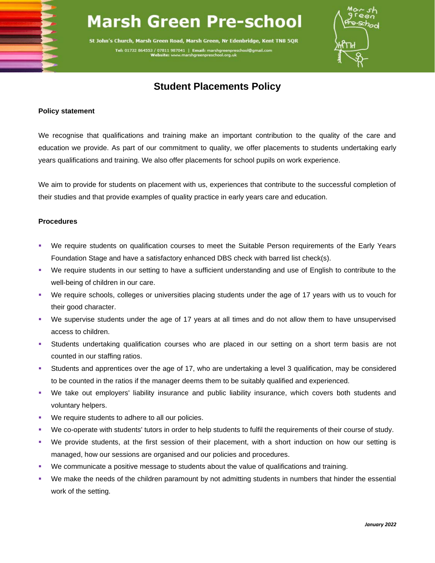## **Marsh Green Pre-school**

St John's Church, Marsh Green Road, Marsh Green, Nr Edenbridge, Kent TN8 5QR

Tel: 01732 864553 / 07811 987041 | Email: marshgre



## **Student Placements Policy**

## **Policy statement**

We recognise that qualifications and training make an important contribution to the quality of the care and education we provide. As part of our commitment to quality, we offer placements to students undertaking early years qualifications and training. We also offer placements for school pupils on work experience.

We aim to provide for students on placement with us, experiences that contribute to the successful completion of their studies and that provide examples of quality practice in early years care and education.

## **Procedures**

- We require students on qualification courses to meet the Suitable Person requirements of the Early Years Foundation Stage and have a satisfactory enhanced DBS check with barred list check(s).
- We require students in our setting to have a sufficient understanding and use of English to contribute to the well-being of children in our care.
- We require schools, colleges or universities placing students under the age of 17 years with us to vouch for their good character.
- We supervise students under the age of 17 years at all times and do not allow them to have unsupervised access to children.
- Students undertaking qualification courses who are placed in our setting on a short term basis are not counted in our staffing ratios.
- Students and apprentices over the age of 17, who are undertaking a level 3 qualification, may be considered to be counted in the ratios if the manager deems them to be suitably qualified and experienced.
- We take out employers' liability insurance and public liability insurance, which covers both students and voluntary helpers.
- We require students to adhere to all our policies.
- We co-operate with students' tutors in order to help students to fulfil the requirements of their course of study.
- We provide students, at the first session of their placement, with a short induction on how our setting is managed, how our sessions are organised and our policies and procedures.
- We communicate a positive message to students about the value of qualifications and training.
- We make the needs of the children paramount by not admitting students in numbers that hinder the essential work of the setting.